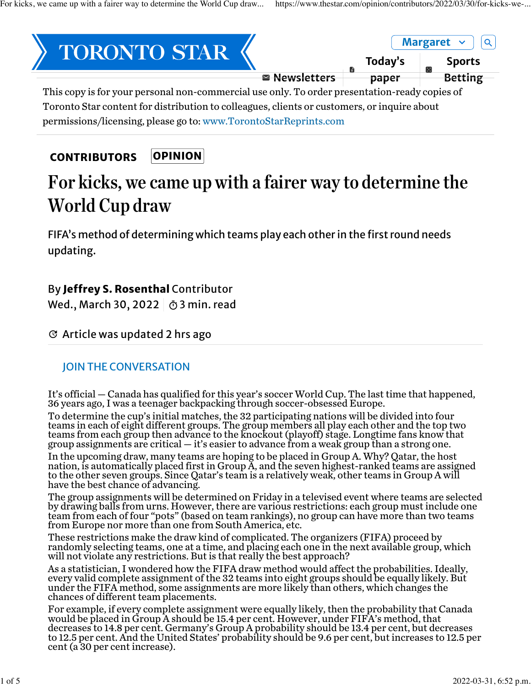

permissions/licensing, please go to: [www.TorontoStarReprints.com](http://www.torontostarreprints.com/)

#### OPINION **[CONTRIBUTORS](https://www.thestar.com/opinion/contributors.html)**

# For kicks, we came up with a fairer way to determine the World Cup draw

FIFA's method of determining which teams play each other in the first round needs updating.

## By Jeffrey S. Rosenthal Contributor

Wed., March 30, 2022 |  $\bar{\odot}$  3 min. read

#### $G$  Article was updated 2 hrs ago

### JOIN THE CONVERSATION

It's official — Canada has qualified for this year's soccer World Cup. The last time that happened, 36 years ago, I was a teenager backpacking through soccer-obsessed Europe.

To determine the cup's initial matches, the 32 participating nations will be divided into four teams in each of eight different groups. The group members all play each other and the top two teams from each group then advance to the knockout (playoff) stage. Longtime fans know that group assignments are critical — it's easier to advance from a weak group than a strong one.

In the upcoming draw, many teams are hoping to be placed in Group A. Why? Qatar, the host nation, is automatically placed first in Group A, and the seven highest-ranked teams are assigned to the other seven groups. Since Qatar's team is a relatively weak, other teams in Group A will have the best chance of advancing.

The group assignments will be determined on Friday in a televised event where teams are selected by drawing balls from urns. However, there are various restrictions: each group must include one team from each of four "pots" (based on team rankings), no group can have more than two teams from Europe nor more than one from South America, etc.

These restrictions make the draw kind of complicated. The organizers (FIFA) proceed by randomly selecting teams, one at a time, and placing each one in the next available group, which will not violate any restrictions. But is that really the best approach?

As a statistician, I wondered how the FIFA draw method would affect the probabilities. Ideally, every valid complete assignment of the 32 teams into eight groups should be equally likely. But under the FIFA method, some assignments are more likely than others, which changes the chances of different team placements.

For example, if every complete assignment were equally likely, then the probability that Canada would be placed in Group A should be 15.4 per cent. However, under FIFA's method, that decreases to 14.8 per cent. Germany's Group A probability should be 13.4 per cent, but decreases to 12.5 per cent. And the United States' probability should be 9.6 per cent, but increases to 12.5 per cent (a 30 per cent increase).